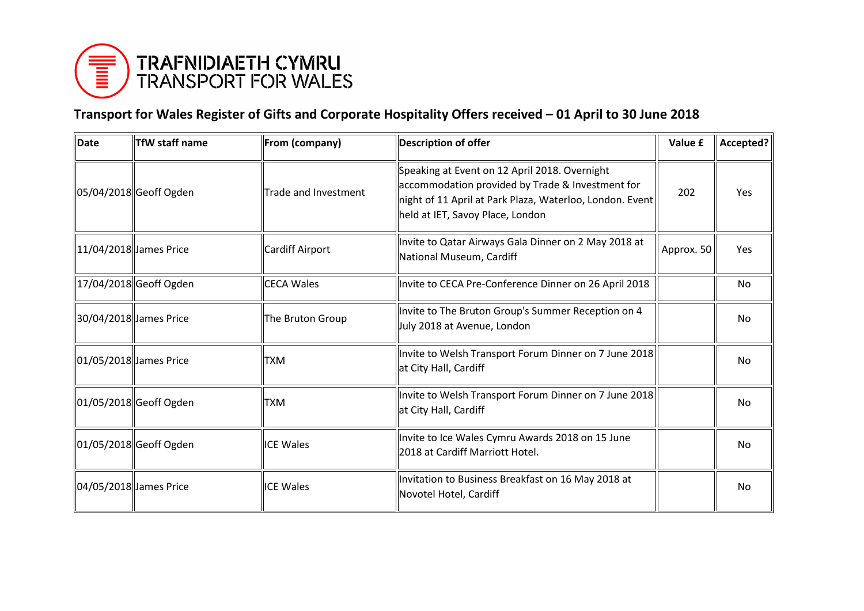

## **Transport for Wales Register of Gifts and Corporate Hospitality Offers received – 01 April to 30 June 2018**

| Date                   | TfW staff name         | From (company)       | <b>Description of offer</b>                                                                                                                                                                       | Value £    | Accepted?  |
|------------------------|------------------------|----------------------|---------------------------------------------------------------------------------------------------------------------------------------------------------------------------------------------------|------------|------------|
|                        | 05/04/2018 Geoff Ogden | Trade and Investment | Speaking at Event on 12 April 2018. Overnight<br>accommodation provided by Trade & Investment for<br>night of 11 April at Park Plaza, Waterloo, London. Event<br>held at IET, Savoy Place, London | 202        | <b>Yes</b> |
|                        | 11/04/2018 James Price | Cardiff Airport      | Invite to Qatar Airways Gala Dinner on 2 May 2018 at<br>National Museum, Cardiff                                                                                                                  | Approx. 50 | Yes        |
|                        | 17/04/2018 Geoff Ogden | <b>CECA Wales</b>    | Invite to CECA Pre-Conference Dinner on 26 April 2018                                                                                                                                             |            | No         |
|                        | 30/04/2018 James Price | The Bruton Group     | Invite to The Bruton Group's Summer Reception on 4<br>July 2018 at Avenue, London                                                                                                                 |            | No         |
| 01/05/2018 James Price |                        | TXM                  | Invite to Welsh Transport Forum Dinner on 7 June 2018 <br>at City Hall, Cardiff                                                                                                                   |            | No         |
|                        | 01/05/2018 Geoff Ogden | <b>TXM</b>           | Invite to Welsh Transport Forum Dinner on 7 June 2018<br>at City Hall, Cardiff                                                                                                                    |            | No         |
|                        | 01/05/2018 Geoff Ogden | <b>ICE Wales</b>     | Invite to Ice Wales Cymru Awards 2018 on 15 June<br>2018 at Cardiff Marriott Hotel.                                                                                                               |            | No         |
| 04/05/2018 James Price |                        | <b>ICE Wales</b>     | Invitation to Business Breakfast on 16 May 2018 at<br>Novotel Hotel, Cardiff                                                                                                                      |            | No         |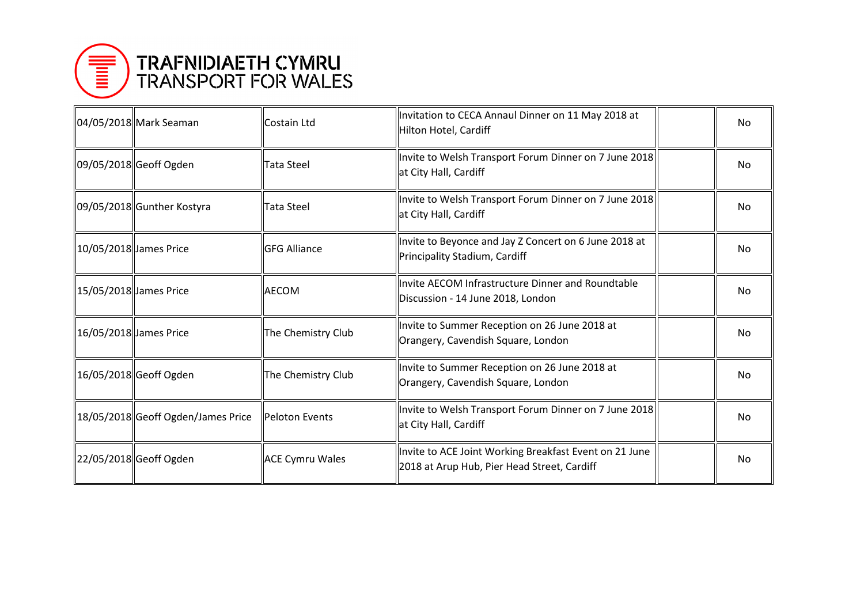

|                         | 04/05/2018 Mark Seaman              | Costain Ltd            | Invitation to CECA Annaul Dinner on 11 May 2018 at<br>Hilton Hotel, Cardiff                           | No |
|-------------------------|-------------------------------------|------------------------|-------------------------------------------------------------------------------------------------------|----|
|                         | 09/05/2018 Geoff Ogden              | <b>Tata Steel</b>      | Invite to Welsh Transport Forum Dinner on 7 June 2018<br>at City Hall, Cardiff                        | No |
|                         | 09/05/2018 Gunther Kostyra          | Tata Steel             | Invite to Welsh Transport Forum Dinner on 7 June 2018<br>at City Hall, Cardiff                        | No |
| 10/05/2018  James Price |                                     | <b>GFG Alliance</b>    | Invite to Beyonce and Jay Z Concert on 6 June 2018 at<br>Principality Stadium, Cardiff                | No |
| 15/05/2018  James Price |                                     | <b>AECOM</b>           | Invite AECOM Infrastructure Dinner and Roundtable<br>Discussion - 14 June 2018, London                | No |
| 16/05/2018  James Price |                                     | The Chemistry Club     | Invite to Summer Reception on 26 June 2018 at<br>Orangery, Cavendish Square, London                   | No |
|                         | 16/05/2018  Geoff Ogden             | The Chemistry Club     | Invite to Summer Reception on 26 June 2018 at<br>Orangery, Cavendish Square, London                   | No |
|                         | 18/05/2018  Geoff Ogden/James Price | Peloton Events         | Invite to Welsh Transport Forum Dinner on 7 June 2018<br>at City Hall, Cardiff                        | No |
|                         | 22/05/2018 Geoff Ogden              | <b>ACE Cymru Wales</b> | Invite to ACE Joint Working Breakfast Event on 21 June<br>2018 at Arup Hub, Pier Head Street, Cardiff | No |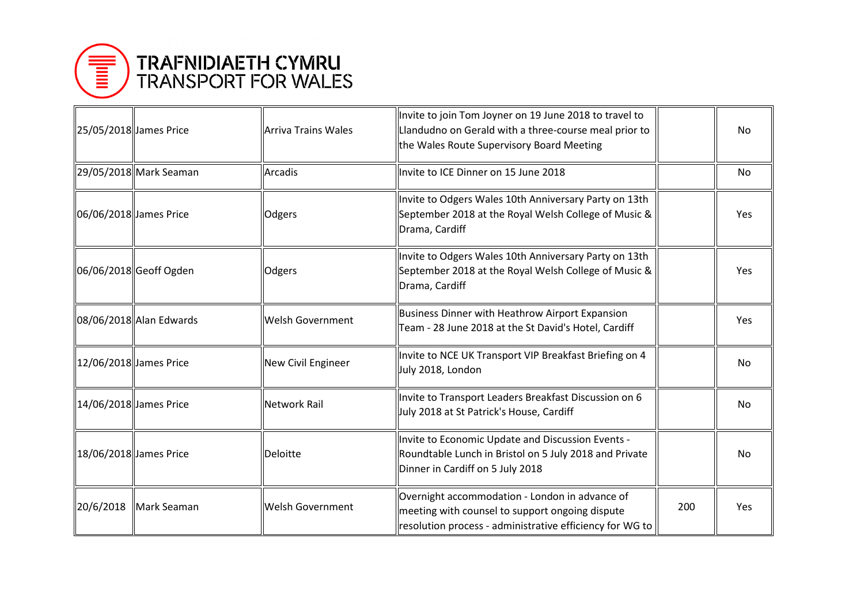

| 25/05/2018 James Price  |                         | <b>Arriva Trains Wales</b> | Invite to join Tom Joyner on 19 June 2018 to travel to<br>Llandudno on Gerald with a three-course meal prior to<br>the Wales Route Supervisory Board Meeting  |     | No         |
|-------------------------|-------------------------|----------------------------|---------------------------------------------------------------------------------------------------------------------------------------------------------------|-----|------------|
|                         | 29/05/2018 Mark Seaman  | <b>Arcadis</b>             | Invite to ICE Dinner on 15 June 2018                                                                                                                          |     | No         |
| 06/06/2018 James Price  |                         | Odgers                     | Invite to Odgers Wales 10th Anniversary Party on 13th<br>September 2018 at the Royal Welsh College of Music &<br>Drama, Cardiff                               |     | Yes        |
|                         | 06/06/2018 Geoff Ogden  | Odgers                     | Invite to Odgers Wales 10th Anniversary Party on 13th<br>September 2018 at the Royal Welsh College of Music &<br>Drama, Cardiff                               |     | Yes        |
|                         | 08/06/2018 Alan Edwards | Welsh Government           | <b>Business Dinner with Heathrow Airport Expansion</b><br>Team - 28 June 2018 at the St David's Hotel, Cardiff                                                |     | <b>Yes</b> |
| 12/06/2018  James Price |                         | New Civil Engineer         | Invite to NCE UK Transport VIP Breakfast Briefing on 4<br>July 2018, London                                                                                   |     | No         |
| 14/06/2018  James Price |                         | <b>Network Rail</b>        | Invite to Transport Leaders Breakfast Discussion on 6<br>July 2018 at St Patrick's House, Cardiff                                                             |     | No         |
| 18/06/2018 James Price  |                         | Deloitte                   | Invite to Economic Update and Discussion Events -<br>Roundtable Lunch in Bristol on 5 July 2018 and Private<br>Dinner in Cardiff on 5 July 2018               |     | No         |
| 20/6/2018               | Mark Seaman             | <b>Welsh Government</b>    | Overnight accommodation - London in advance of<br>meeting with counsel to support ongoing dispute<br>resolution process - administrative efficiency for WG to | 200 | Yes.       |